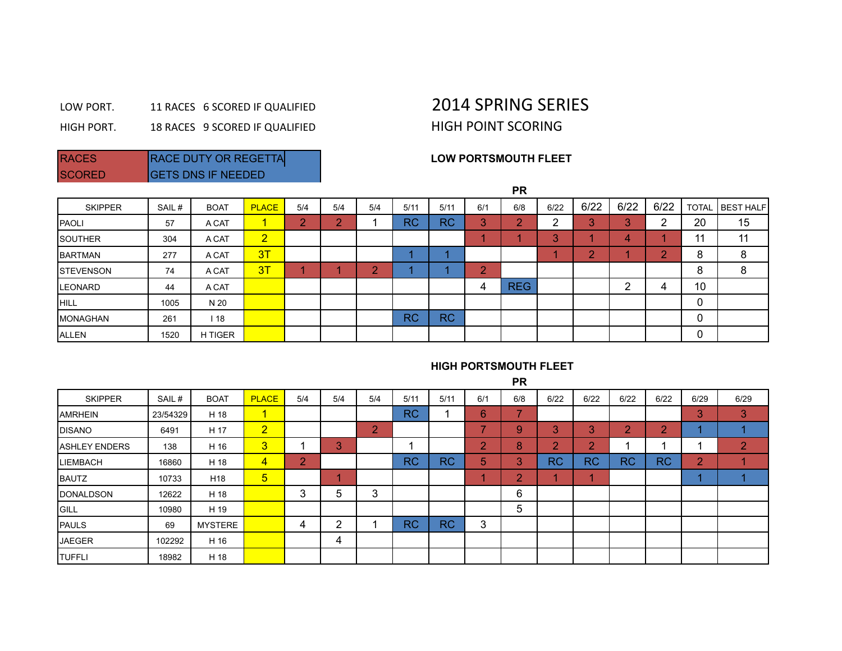## LOW PORT. 11 RACES 6 SCORED IF QUALIFIED 2014 SPRING SERIES

HIGH PORT. 18 RACES 9 SCORED IF QUALIFIED HIGH POINT SCORING

SCORED **GETS DNS IF NEEDED** 

## RACES RACE DUTY OR REGETTA **RACE ASSESS**

|                   |       |             |                |     |     |           |           |           |                                   | <b>PR</b>     |             |               |         |           |              |                  |
|-------------------|-------|-------------|----------------|-----|-----|-----------|-----------|-----------|-----------------------------------|---------------|-------------|---------------|---------|-----------|--------------|------------------|
| <b>SKIPPER</b>    | SAIL# | <b>BOAT</b> | <b>PLACE</b>   | 5/4 | 5/4 | 5/4       | 5/11      | 5/11      | 6/1                               | 6/8           | 6/22        | 6/22          | 6/22    | 6/22      | <b>TOTAL</b> | <b>BEST HALF</b> |
| <b>PAOLI</b>      | 57    | A CAT       | 4.             | o   | o   |           | <b>RC</b> | <b>RC</b> | $\sim$<br>$\mathbf{u}_\mathrm{c}$ | $\Omega$<br>÷ | ົ<br>∠      | 3             | Q.<br>o | ົ         | 20           | 15               |
| <b>SOUTHER</b>    | 304   | A CAT       | $\overline{2}$ |     |     |           |           |           |                                   |               | $\sim$<br>◡ |               | 4       |           | 11           | 11               |
| <b>BARTMAN</b>    | 277   | A CAT       | 3T             |     |     |           |           |           |                                   |               |             | $\Omega$<br>- |         | $\bullet$ | 8            | 8                |
| <b>ISTEVENSON</b> | 74    | A CAT       | 3T             |     |     | $\bullet$ |           |           | $\sim$                            |               |             |               |         |           | 8            | 8                |
| <b>ILEONARD</b>   | 44    | A CAT       |                |     |     |           |           |           | 4                                 | <b>REG</b>    |             |               | ົ<br>▃  | 4         | 10           |                  |
| <b>HILL</b>       | 1005  | N 20        |                |     |     |           |           |           |                                   |               |             |               |         |           | 0            |                  |
| <b>MONAGHAN</b>   | 261   | 118         |                |     |     |           | <b>RC</b> | <b>RC</b> |                                   |               |             |               |         |           | 0            |                  |
| ALLEN             | 1520  | H TIGER     |                |     |     |           |           |           |                                   |               |             |               |         |           | 0            |                  |

## **HIGH PORTSMOUTH FLEET**

**PR**

| <b>SKIPPER</b>        | SAIL#    | <b>BOAT</b>     | <b>PLACE</b>   | 5/4 | 5/4    | 5/4 | 5/11      | 5/11      | 6/1            | 6/8                      | 6/22          | 6/22      | 6/22      | 6/22      | 6/29           | 6/29               |
|-----------------------|----------|-----------------|----------------|-----|--------|-----|-----------|-----------|----------------|--------------------------|---------------|-----------|-----------|-----------|----------------|--------------------|
| <b>AMRHEIN</b>        | 23/54329 | H 18            | 1              |     |        |     | <b>RC</b> |           | 6              | $\overline{\phantom{a}}$ |               |           |           |           | 3              | 3                  |
| <b>IDISANO</b>        | 6491     | H 17            | $\overline{2}$ |     |        | 2   |           |           | -              | 9                        | 3             | 3         | $\Omega$  | 2         |                |                    |
| <b>JASHLEY ENDERS</b> | 138      | H 16            | $\overline{3}$ |     | 3      |     |           |           | $\overline{2}$ | 8                        | $\Omega$<br>∠ | o.<br>. . |           |           |                | $\mathcal{D}$<br>∠ |
| <b>LIEMBACH</b>       | 16860    | H 18            | $\overline{4}$ | 2   |        |     | <b>RC</b> | <b>RC</b> | 5              | 3                        | <b>RC</b>     | <b>RC</b> | <b>RC</b> | <b>RC</b> | $\overline{2}$ |                    |
| <b>BAUTZ</b>          | 10733    | H <sub>18</sub> | $\sqrt{5}$     |     |        |     |           |           |                | $\overline{2}$           |               |           |           |           |                |                    |
| <b>IDONALDSON</b>     | 12622    | H 18            |                | 3   | 5      | 3   |           |           |                | 6                        |               |           |           |           |                |                    |
| <b>GILL</b>           | 10980    | H 19            |                |     |        |     |           |           |                | 5                        |               |           |           |           |                |                    |
| <b>PAULS</b>          | 69       | <b>MYSTERE</b>  |                | 4   | ົ<br>∼ |     | <b>RC</b> | <b>RC</b> | 3              |                          |               |           |           |           |                |                    |
| <b>JAEGER</b>         | 102292   | H 16            |                |     | 4      |     |           |           |                |                          |               |           |           |           |                |                    |
| <b>ITUFFLI</b>        | 18982    | H 18            |                |     |        |     |           |           |                |                          |               |           |           |           |                |                    |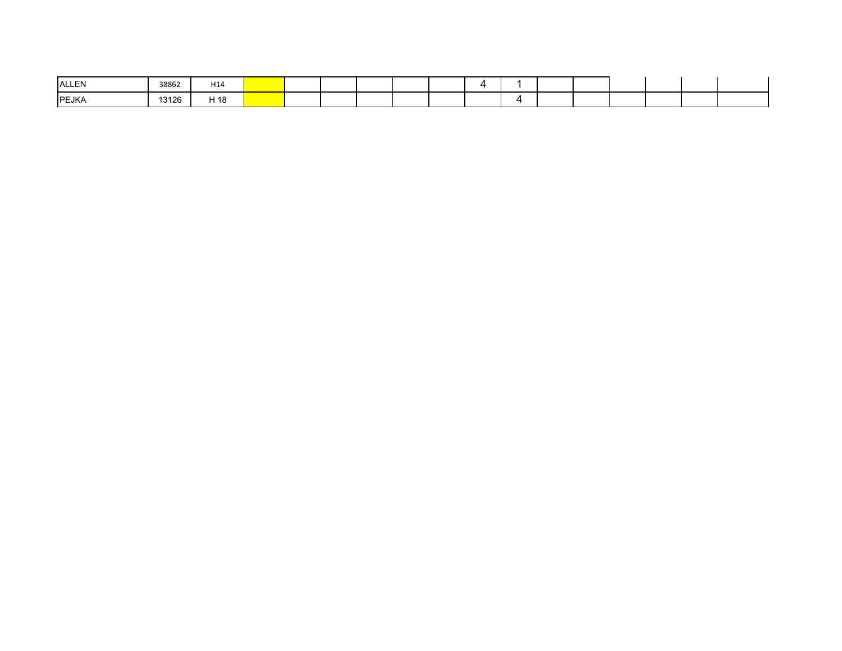| ALLEN        | 38862 | H <sub>14</sub> |  |  |  |  |  |  |  |
|--------------|-------|-----------------|--|--|--|--|--|--|--|
| <b>PEJKA</b> | 13126 | H 18            |  |  |  |  |  |  |  |